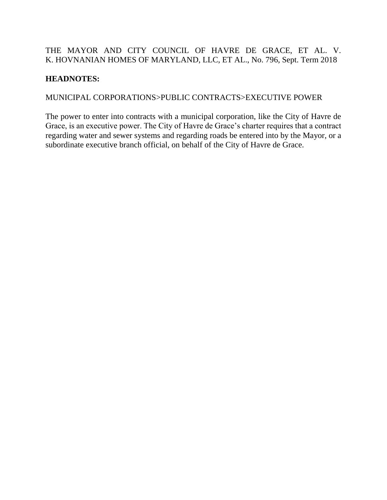# THE MAYOR AND CITY COUNCIL OF HAVRE DE GRACE, ET AL. V. K. HOVNANIAN HOMES OF MARYLAND, LLC, ET AL., No. 796, Sept. Term 2018

# **HEADNOTES:**

# MUNICIPAL CORPORATIONS>PUBLIC CONTRACTS>EXECUTIVE POWER

The power to enter into contracts with a municipal corporation, like the City of Havre de Grace, is an executive power. The City of Havre de Grace's charter requires that a contract regarding water and sewer systems and regarding roads be entered into by the Mayor, or a subordinate executive branch official, on behalf of the City of Havre de Grace.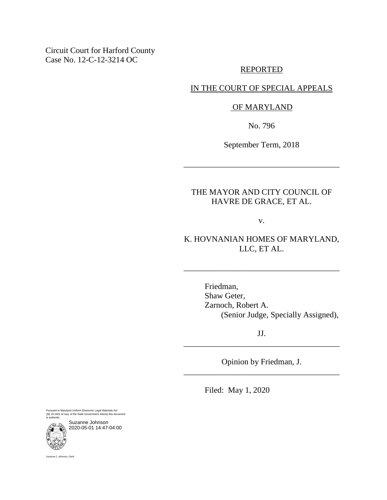Circuit Court for Harford County Case No. 12-C-12-3214 OC

#### REPORTED

### IN THE COURT OF SPECIAL APPEALS

#### OF MARYLAND

No. 796

September Term, 2018

\_\_\_\_\_\_\_\_\_\_\_\_\_\_\_\_\_\_\_\_\_\_\_\_\_\_\_\_\_\_\_\_\_\_\_\_\_\_

### THE MAYOR AND CITY COUNCIL OF HAVRE DE GRACE, ET AL.

v.

# K. HOVNANIAN HOMES OF MARYLAND, LLC, ET AL.

\_\_\_\_\_\_\_\_\_\_\_\_\_\_\_\_\_\_\_\_\_\_\_\_\_\_\_\_\_\_\_\_\_\_\_\_\_\_

Friedman, Shaw Geter, Zarnoch, Robert A. (Senior Judge, Specially Assigned),

JJ. \_\_\_\_\_\_\_\_\_\_\_\_\_\_\_\_\_\_\_\_\_\_\_\_\_\_\_\_\_\_\_\_\_\_\_\_\_\_

Opinion by Friedman, J. \_\_\_\_\_\_\_\_\_\_\_\_\_\_\_\_\_\_\_\_\_\_\_\_\_\_\_\_\_\_\_\_\_\_\_\_\_\_

Filed: May 1, 2020

Pursuant to Maryland Uniform Electronic Legal Materials Act (§§ 10-1601 et seq. of the State Government Article) this document is authentic.

Suzanne Johnson 2020-05-01 14:47-04:00

Suzanne C. Johnson, Clerk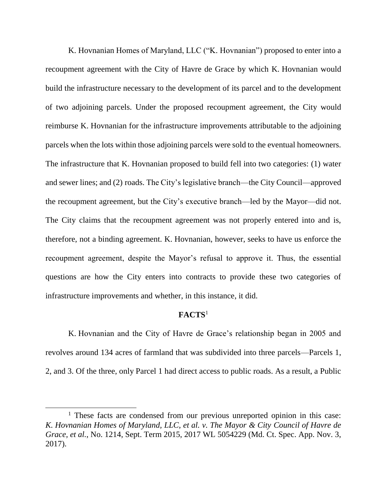K. Hovnanian Homes of Maryland, LLC ("K. Hovnanian") proposed to enter into a recoupment agreement with the City of Havre de Grace by which K. Hovnanian would build the infrastructure necessary to the development of its parcel and to the development of two adjoining parcels. Under the proposed recoupment agreement, the City would reimburse K. Hovnanian for the infrastructure improvements attributable to the adjoining parcels when the lots within those adjoining parcels were sold to the eventual homeowners. The infrastructure that K. Hovnanian proposed to build fell into two categories: (1) water and sewer lines; and (2) roads. The City's legislative branch—the City Council—approved the recoupment agreement, but the City's executive branch—led by the Mayor—did not. The City claims that the recoupment agreement was not properly entered into and is, therefore, not a binding agreement. K. Hovnanian, however, seeks to have us enforce the recoupment agreement, despite the Mayor's refusal to approve it. Thus, the essential questions are how the City enters into contracts to provide these two categories of infrastructure improvements and whether, in this instance, it did.

### **FACTS**<sup>1</sup>

K. Hovnanian and the City of Havre de Grace's relationship began in 2005 and revolves around 134 acres of farmland that was subdivided into three parcels—Parcels 1, 2, and 3. Of the three, only Parcel 1 had direct access to public roads. As a result, a Public

 $1$  These facts are condensed from our previous unreported opinion in this case: *K. Hovnanian Homes of Maryland, LLC, et al. v. The Mayor & City Council of Havre de Grace, et al.*, No. 1214, Sept. Term 2015, 2017 WL 5054229 (Md. Ct. Spec. App. Nov. 3, 2017).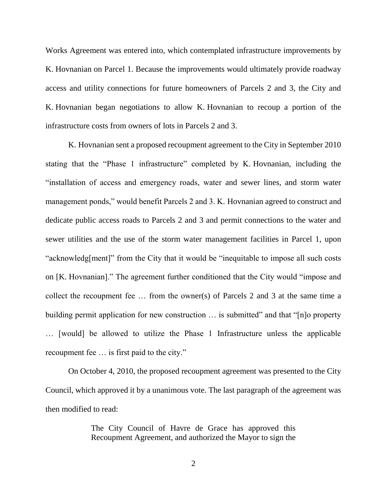Works Agreement was entered into, which contemplated infrastructure improvements by K. Hovnanian on Parcel 1. Because the improvements would ultimately provide roadway access and utility connections for future homeowners of Parcels 2 and 3, the City and K. Hovnanian began negotiations to allow K. Hovnanian to recoup a portion of the infrastructure costs from owners of lots in Parcels 2 and 3.

K. Hovnanian sent a proposed recoupment agreement to the City in September 2010 stating that the "Phase 1 infrastructure" completed by K. Hovnanian, including the "installation of access and emergency roads, water and sewer lines, and storm water management ponds," would benefit Parcels 2 and 3. K. Hovnanian agreed to construct and dedicate public access roads to Parcels 2 and 3 and permit connections to the water and sewer utilities and the use of the storm water management facilities in Parcel 1, upon "acknowledg[ment]" from the City that it would be "inequitable to impose all such costs on [K. Hovnanian]." The agreement further conditioned that the City would "impose and collect the recoupment fee … from the owner(s) of Parcels 2 and 3 at the same time a building permit application for new construction ... is submitted" and that "[n]o property … [would] be allowed to utilize the Phase 1 Infrastructure unless the applicable recoupment fee … is first paid to the city."

On October 4, 2010, the proposed recoupment agreement was presented to the City Council, which approved it by a unanimous vote. The last paragraph of the agreement was then modified to read:

> The City Council of Havre de Grace has approved this Recoupment Agreement, and authorized the Mayor to sign the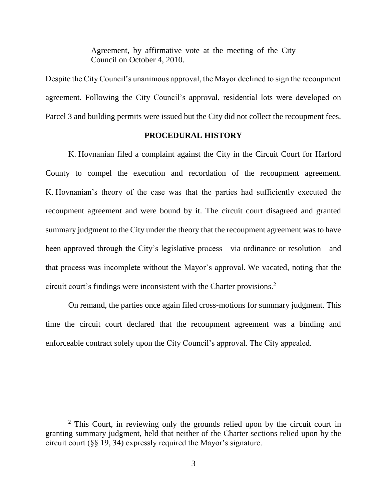Agreement, by affirmative vote at the meeting of the City Council on October 4, 2010.

Despite the City Council's unanimous approval, the Mayor declined to sign the recoupment agreement. Following the City Council's approval, residential lots were developed on Parcel 3 and building permits were issued but the City did not collect the recoupment fees.

### **PROCEDURAL HISTORY**

K. Hovnanian filed a complaint against the City in the Circuit Court for Harford County to compel the execution and recordation of the recoupment agreement. K. Hovnanian's theory of the case was that the parties had sufficiently executed the recoupment agreement and were bound by it. The circuit court disagreed and granted summary judgment to the City under the theory that the recoupment agreement was to have been approved through the City's legislative process—via ordinance or resolution—and that process was incomplete without the Mayor's approval*.* We vacated, noting that the circuit court's findings were inconsistent with the Charter provisions. 2

On remand, the parties once again filed cross-motions for summary judgment. This time the circuit court declared that the recoupment agreement was a binding and enforceable contract solely upon the City Council's approval. The City appealed.

<sup>&</sup>lt;sup>2</sup> This Court, in reviewing only the grounds relied upon by the circuit court in granting summary judgment, held that neither of the Charter sections relied upon by the circuit court (§§ 19, 34) expressly required the Mayor's signature.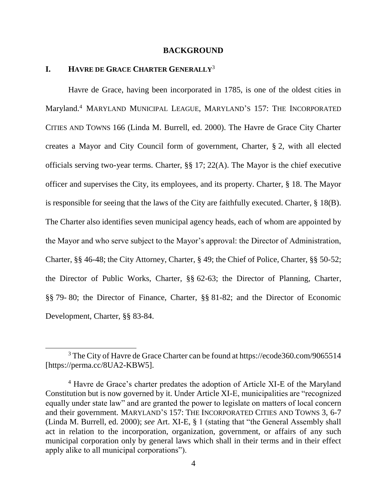#### **BACKGROUND**

#### **I. HAVRE DE GRACE CHARTER GENERALLY**<sup>3</sup>

 $\overline{a}$ 

Havre de Grace, having been incorporated in 1785, is one of the oldest cities in Maryland.<sup>4</sup> MARYLAND MUNICIPAL LEAGUE, MARYLAND'S 157: THE INCORPORATED CITIES AND TOWNS 166 (Linda M. Burrell, ed. 2000). The Havre de Grace City Charter creates a Mayor and City Council form of government, Charter, § 2, with all elected officials serving two-year terms. Charter, §§ 17; 22(A). The Mayor is the chief executive officer and supervises the City, its employees, and its property. Charter, § 18. The Mayor is responsible for seeing that the laws of the City are faithfully executed. Charter, § 18(B). The Charter also identifies seven municipal agency heads, each of whom are appointed by the Mayor and who serve subject to the Mayor's approval: the Director of Administration, Charter, §§ 46-48; the City Attorney, Charter, § 49; the Chief of Police, Charter, §§ 50-52; the Director of Public Works, Charter, §§ 62-63; the Director of Planning, Charter, §§ 79- 80; the Director of Finance, Charter, §§ 81-82; and the Director of Economic Development, Charter, §§ 83-84.

<sup>&</sup>lt;sup>3</sup> The City of Havre de Grace Charter can be found at https://ecode360.com/9065514 [https://perma.cc/8UA2-KBW5].

<sup>&</sup>lt;sup>4</sup> Havre de Grace's charter predates the adoption of Article XI-E of the Maryland Constitution but is now governed by it. Under Article XI-E, municipalities are "recognized equally under state law" and are granted the power to legislate on matters of local concern and their government. MARYLAND'S 157: THE INCORPORATED CITIES AND TOWNS 3, 6-7 (Linda M. Burrell, ed. 2000); *see* Art. XI-E, § 1 (stating that "the General Assembly shall act in relation to the incorporation, organization, government, or affairs of any such municipal corporation only by general laws which shall in their terms and in their effect apply alike to all municipal corporations").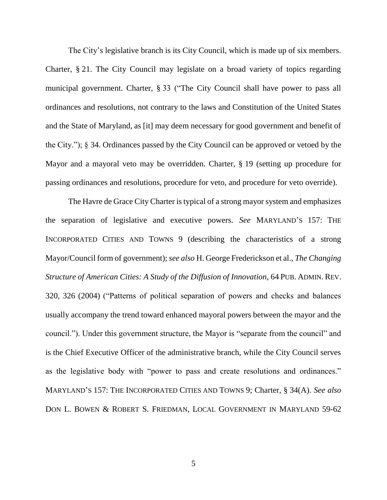The City's legislative branch is its City Council, which is made up of six members. Charter, § 21. The City Council may legislate on a broad variety of topics regarding municipal government. Charter, § 33 ("The City Council shall have power to pass all ordinances and resolutions, not contrary to the laws and Constitution of the United States and the State of Maryland, as [it] may deem necessary for good government and benefit of the City."); § 34. Ordinances passed by the City Council can be approved or vetoed by the Mayor and a mayoral veto may be overridden. Charter, § 19 (setting up procedure for passing ordinances and resolutions, procedure for veto, and procedure for veto override).

The Havre de Grace City Charter is typical of a strong mayor system and emphasizes the separation of legislative and executive powers. *See* MARYLAND'S 157: THE INCORPORATED CITIES AND TOWNS 9 (describing the characteristics of a strong Mayor/Council form of government); *see also* H. George Frederickson et al., *The Changing Structure of American Cities: A Study of the Diffusion of Innovation*, 64 PUB. ADMIN. REV. 320, 326 (2004) ("Patterns of political separation of powers and checks and balances usually accompany the trend toward enhanced mayoral powers between the mayor and the council."). Under this government structure, the Mayor is "separate from the council" and is the Chief Executive Officer of the administrative branch, while the City Council serves as the legislative body with "power to pass and create resolutions and ordinances." MARYLAND'S 157: THE INCORPORATED CITIES AND TOWNS 9; Charter, § 34(A). *See also* DON L. BOWEN & ROBERT S. FRIEDMAN, LOCAL GOVERNMENT IN MARYLAND 59-62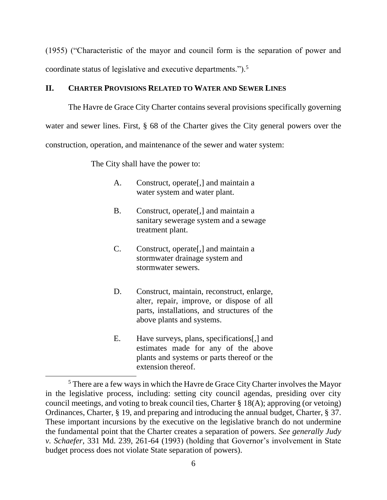(1955) ("Characteristic of the mayor and council form is the separation of power and coordinate status of legislative and executive departments.").<sup>5</sup>

### **II. CHARTER PROVISIONS RELATED TO WATER AND SEWER LINES**

The Havre de Grace City Charter contains several provisions specifically governing water and sewer lines. First, § 68 of the Charter gives the City general powers over the construction, operation, and maintenance of the sewer and water system:

The City shall have the power to:

- A. Construct, operate[,] and maintain a water system and water plant.
- B. Construct, operate[,] and maintain a sanitary sewerage system and a sewage treatment plant.
- C. Construct, operate[,] and maintain a stormwater drainage system and stormwater sewers.
- D. Construct, maintain, reconstruct, enlarge, alter, repair, improve, or dispose of all parts, installations, and structures of the above plants and systems.
- E. Have surveys, plans, specifications[,] and estimates made for any of the above plants and systems or parts thereof or the extension thereof.

<sup>&</sup>lt;sup>5</sup> There are a few ways in which the Havre de Grace City Charter involves the Mayor in the legislative process, including: setting city council agendas, presiding over city council meetings, and voting to break council ties, Charter § 18(A); approving (or vetoing) Ordinances, Charter, § 19, and preparing and introducing the annual budget, Charter, § 37. These important incursions by the executive on the legislative branch do not undermine the fundamental point that the Charter creates a separation of powers. *See generally Judy v. Schaefer*, 331 Md. 239, 261-64 (1993) (holding that Governor's involvement in State budget process does not violate State separation of powers).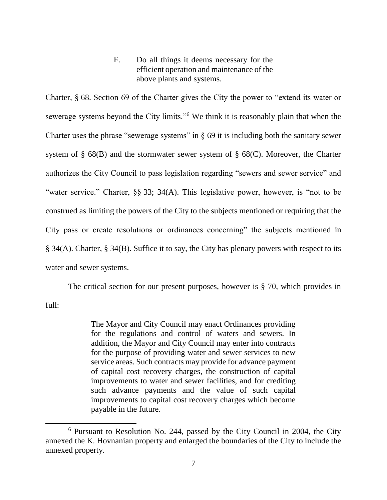F. Do all things it deems necessary for the efficient operation and maintenance of the above plants and systems.

Charter, § 68. Section 69 of the Charter gives the City the power to "extend its water or sewerage systems beyond the City limits."<sup>6</sup> We think it is reasonably plain that when the Charter uses the phrase "sewerage systems" in  $\S$  69 it is including both the sanitary sewer system of § 68(B) and the stormwater sewer system of § 68(C). Moreover, the Charter authorizes the City Council to pass legislation regarding "sewers and sewer service" and "water service." Charter, §§ 33; 34(A). This legislative power, however, is "not to be construed as limiting the powers of the City to the subjects mentioned or requiring that the City pass or create resolutions or ordinances concerning" the subjects mentioned in § 34(A). Charter, § 34(B). Suffice it to say, the City has plenary powers with respect to its water and sewer systems.

The critical section for our present purposes, however is § 70, which provides in full:

> The Mayor and City Council may enact Ordinances providing for the regulations and control of waters and sewers. In addition, the Mayor and City Council may enter into contracts for the purpose of providing water and sewer services to new service areas. Such contracts may provide for advance payment of capital cost recovery charges, the construction of capital improvements to water and sewer facilities, and for crediting such advance payments and the value of such capital improvements to capital cost recovery charges which become payable in the future.

<sup>6</sup> Pursuant to Resolution No. 244, passed by the City Council in 2004, the City annexed the K. Hovnanian property and enlarged the boundaries of the City to include the annexed property.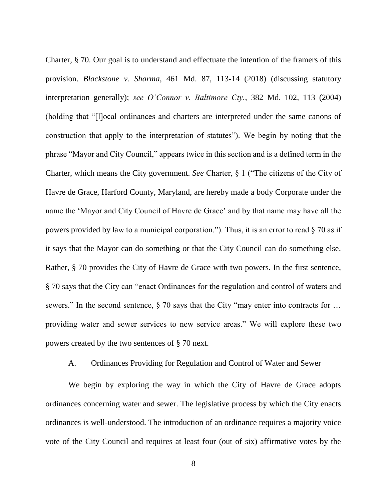Charter, § 70. Our goal is to understand and effectuate the intention of the framers of this provision. *Blackstone v. Sharma*, 461 Md. 87, 113-14 (2018) (discussing statutory interpretation generally); *see O'Connor v. Baltimore Cty.*, 382 Md. 102, 113 (2004) (holding that "[l]ocal ordinances and charters are interpreted under the same canons of construction that apply to the interpretation of statutes"). We begin by noting that the phrase "Mayor and City Council," appears twice in this section and is a defined term in the Charter, which means the City government. *See* Charter, § 1 ("The citizens of the City of Havre de Grace, Harford County, Maryland, are hereby made a body Corporate under the name the 'Mayor and City Council of Havre de Grace' and by that name may have all the powers provided by law to a municipal corporation."). Thus, it is an error to read  $\S$  70 as if it says that the Mayor can do something or that the City Council can do something else. Rather, § 70 provides the City of Havre de Grace with two powers. In the first sentence, § 70 says that the City can "enact Ordinances for the regulation and control of waters and sewers." In the second sentence, § 70 says that the City "may enter into contracts for ... providing water and sewer services to new service areas." We will explore these two powers created by the two sentences of § 70 next.

### A. Ordinances Providing for Regulation and Control of Water and Sewer

We begin by exploring the way in which the City of Havre de Grace adopts ordinances concerning water and sewer. The legislative process by which the City enacts ordinances is well-understood. The introduction of an ordinance requires a majority voice vote of the City Council and requires at least four (out of six) affirmative votes by the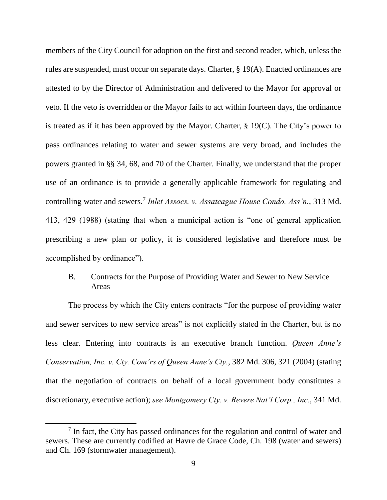members of the City Council for adoption on the first and second reader, which, unless the rules are suspended, must occur on separate days. Charter, § 19(A). Enacted ordinances are attested to by the Director of Administration and delivered to the Mayor for approval or veto. If the veto is overridden or the Mayor fails to act within fourteen days, the ordinance is treated as if it has been approved by the Mayor. Charter, § 19(C). The City's power to pass ordinances relating to water and sewer systems are very broad, and includes the powers granted in §§ 34, 68, and 70 of the Charter. Finally, we understand that the proper use of an ordinance is to provide a generally applicable framework for regulating and controlling water and sewers.<sup>7</sup> *Inlet Assocs. v. Assateague House Condo. Ass'n.*, 313 Md. 413, 429 (1988) (stating that when a municipal action is "one of general application prescribing a new plan or policy, it is considered legislative and therefore must be accomplished by ordinance").

# B. Contracts for the Purpose of Providing Water and Sewer to New Service Areas

The process by which the City enters contracts "for the purpose of providing water and sewer services to new service areas" is not explicitly stated in the Charter, but is no less clear. Entering into contracts is an executive branch function. *Queen Anne's Conservation, Inc. v. Cty. Com'rs of Queen Anne's Cty.*, 382 Md. 306, 321 (2004) (stating that the negotiation of contracts on behalf of a local government body constitutes a discretionary, executive action); *see Montgomery Cty. v. Revere Nat'l Corp., Inc.*, 341 Md.

<sup>&</sup>lt;sup>7</sup> In fact, the City has passed ordinances for the regulation and control of water and sewers. These are currently codified at Havre de Grace Code, Ch. 198 (water and sewers) and Ch. 169 (stormwater management).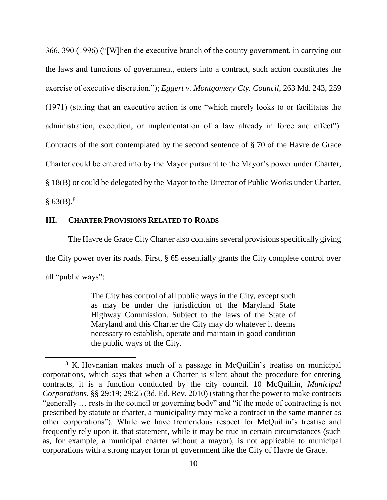366, 390 (1996) ("[W]hen the executive branch of the county government, in carrying out the laws and functions of government, enters into a contract, such action constitutes the exercise of executive discretion."); *Eggert v. Montgomery Cty. Council*, 263 Md. 243, 259 (1971) (stating that an executive action is one "which merely looks to or facilitates the administration, execution, or implementation of a law already in force and effect"). Contracts of the sort contemplated by the second sentence of § 70 of the Havre de Grace Charter could be entered into by the Mayor pursuant to the Mayor's power under Charter, § 18(B) or could be delegated by the Mayor to the Director of Public Works under Charter,  $§$  63(B).<sup>8</sup>

#### **III. CHARTER PROVISIONS RELATED TO ROADS**

l

The Havre de Grace City Charter also contains several provisions specifically giving the City power over its roads. First, § 65 essentially grants the City complete control over all "public ways":

> The City has control of all public ways in the City, except such as may be under the jurisdiction of the Maryland State Highway Commission. Subject to the laws of the State of Maryland and this Charter the City may do whatever it deems necessary to establish, operate and maintain in good condition the public ways of the City.

<sup>&</sup>lt;sup>8</sup> K. Hovnanian makes much of a passage in McQuillin's treatise on municipal corporations, which says that when a Charter is silent about the procedure for entering contracts, it is a function conducted by the city council. 10 McQuillin, *Municipal Corporations*, §§ 29:19; 29:25 (3d. Ed. Rev. 2010) (stating that the power to make contracts "generally … rests in the council or governing body" and "if the mode of contracting is not prescribed by statute or charter, a municipality may make a contract in the same manner as other corporations"). While we have tremendous respect for McQuillin's treatise and frequently rely upon it, that statement, while it may be true in certain circumstances (such as, for example, a municipal charter without a mayor), is not applicable to municipal corporations with a strong mayor form of government like the City of Havre de Grace.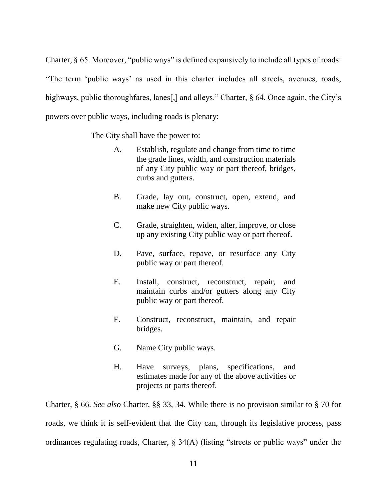Charter, § 65. Moreover, "public ways" is defined expansively to include all types of roads: "The term 'public ways' as used in this charter includes all streets, avenues, roads, highways, public thoroughfares, lanes[,] and alleys." Charter, § 64. Once again, the City's powers over public ways, including roads is plenary:

The City shall have the power to:

- A. Establish, regulate and change from time to time the grade lines, width, and construction materials of any City public way or part thereof, bridges, curbs and gutters.
- B. Grade, lay out, construct, open, extend, and make new City public ways.
- C. Grade, straighten, widen, alter, improve, or close up any existing City public way or part thereof.
- D. Pave, surface, repave, or resurface any City public way or part thereof.
- E. Install, construct, reconstruct, repair, and maintain curbs and/or gutters along any City public way or part thereof.
- F. Construct, reconstruct, maintain, and repair bridges.
- G. Name City public ways.
- H. Have surveys, plans, specifications, and estimates made for any of the above activities or projects or parts thereof.

Charter, § 66. *See also* Charter, §§ 33, 34. While there is no provision similar to § 70 for roads, we think it is self-evident that the City can, through its legislative process, pass ordinances regulating roads, Charter, § 34(A) (listing "streets or public ways" under the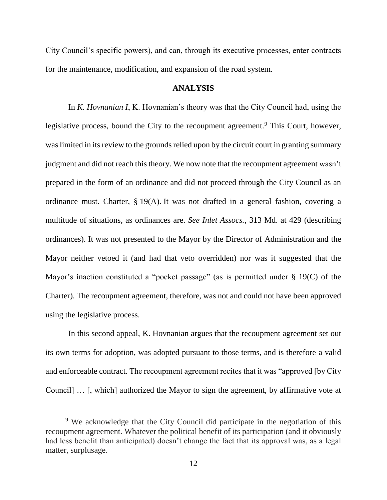City Council's specific powers), and can, through its executive processes, enter contracts for the maintenance, modification, and expansion of the road system.

### **ANALYSIS**

In *K. Hovnanian I*, K. Hovnanian's theory was that the City Council had, using the legislative process, bound the City to the recoupment agreement.<sup>9</sup> This Court, however, was limited in its review to the grounds relied upon by the circuit court in granting summary judgment and did not reach this theory. We now note that the recoupment agreement wasn't prepared in the form of an ordinance and did not proceed through the City Council as an ordinance must. Charter, § 19(A). It was not drafted in a general fashion, covering a multitude of situations, as ordinances are. *See Inlet Assocs.*, 313 Md. at 429 (describing ordinances). It was not presented to the Mayor by the Director of Administration and the Mayor neither vetoed it (and had that veto overridden) nor was it suggested that the Mayor's inaction constituted a "pocket passage" (as is permitted under § 19(C) of the Charter). The recoupment agreement, therefore, was not and could not have been approved using the legislative process.

In this second appeal, K. Hovnanian argues that the recoupment agreement set out its own terms for adoption, was adopted pursuant to those terms, and is therefore a valid and enforceable contract. The recoupment agreement recites that it was "approved [by City Council] … [, which] authorized the Mayor to sign the agreement, by affirmative vote at

<sup>&</sup>lt;sup>9</sup> We acknowledge that the City Council did participate in the negotiation of this recoupment agreement. Whatever the political benefit of its participation (and it obviously had less benefit than anticipated) doesn't change the fact that its approval was, as a legal matter, surplusage.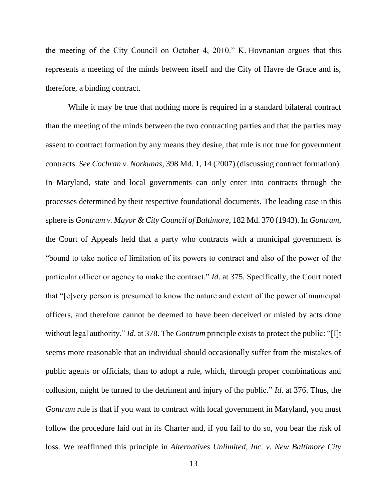the meeting of the City Council on October 4, 2010." K. Hovnanian argues that this represents a meeting of the minds between itself and the City of Havre de Grace and is, therefore, a binding contract.

While it may be true that nothing more is required in a standard bilateral contract than the meeting of the minds between the two contracting parties and that the parties may assent to contract formation by any means they desire, that rule is not true for government contracts. *See Cochran v. Norkunas*, 398 Md. 1, 14 (2007) (discussing contract formation). In Maryland, state and local governments can only enter into contracts through the processes determined by their respective foundational documents. The leading case in this sphere is *Gontrum v. Mayor & City Council of Baltimore*, 182 Md. 370 (1943). In *Gontrum*, the Court of Appeals held that a party who contracts with a municipal government is "bound to take notice of limitation of its powers to contract and also of the power of the particular officer or agency to make the contract." *Id*. at 375. Specifically, the Court noted that "[e]very person is presumed to know the nature and extent of the power of municipal officers, and therefore cannot be deemed to have been deceived or misled by acts done without legal authority." *Id*. at 378. The *Gontrum* principle exists to protect the public: "[I]t seems more reasonable that an individual should occasionally suffer from the mistakes of public agents or officials, than to adopt a rule, which, through proper combinations and collusion, might be turned to the detriment and injury of the public." *Id*. at 376. Thus, the *Gontrum* rule is that if you want to contract with local government in Maryland, you must follow the procedure laid out in its Charter and, if you fail to do so, you bear the risk of loss. We reaffirmed this principle in *Alternatives Unlimited, Inc. v. New Baltimore City*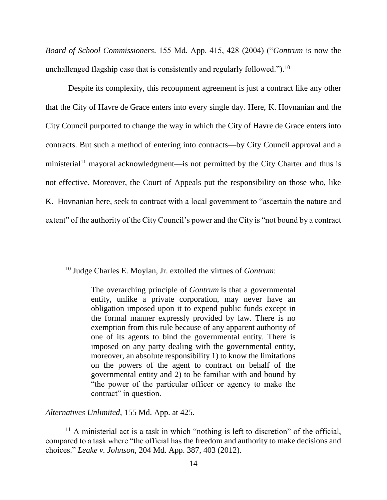*Board of School Commissioners*. 155 Md. App. 415, 428 (2004) ("*Gontrum* is now the unchallenged flagship case that is consistently and regularly followed.").<sup>10</sup>

Despite its complexity, this recoupment agreement is just a contract like any other that the City of Havre de Grace enters into every single day. Here, K. Hovnanian and the City Council purported to change the way in which the City of Havre de Grace enters into contracts. But such a method of entering into contracts—by City Council approval and a ministerial<sup>11</sup> mayoral acknowledgment—is not permitted by the City Charter and thus is not effective. Moreover, the Court of Appeals put the responsibility on those who, like K. Hovnanian here, seek to contract with a local government to "ascertain the nature and extent" of the authority of the City Council's power and the City is "not bound by a contract

<sup>10</sup> Judge Charles E. Moylan, Jr. extolled the virtues of *Gontrum*:

*Alternatives Unlimited*, 155 Md. App. at 425.

The overarching principle of *Gontrum* is that a governmental entity, unlike a private corporation, may never have an obligation imposed upon it to expend public funds except in the formal manner expressly provided by law. There is no exemption from this rule because of any apparent authority of one of its agents to bind the governmental entity. There is imposed on any party dealing with the governmental entity, moreover, an absolute responsibility 1) to know the limitations on the powers of the agent to contract on behalf of the governmental entity and 2) to be familiar with and bound by "the power of the particular officer or agency to make the contract" in question.

 $11$  A ministerial act is a task in which "nothing is left to discretion" of the official, compared to a task where "the official has the freedom and authority to make decisions and choices." *Leake v. Johnson*, 204 Md. App. 387, 403 (2012).